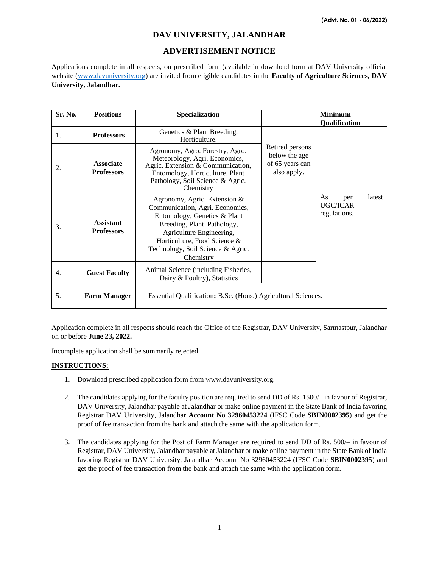# **DAV UNIVERSITY, JALANDHAR**

## **ADVERTISEMENT NOTICE**

Applications complete in all respects, on prescribed form (available in download form at DAV University official website [\(www.davuniversity.org\)](http://www.davuniversity.org/) are invited from eligible candidates in the **Faculty of Agriculture Sciences, DAV University, Jalandhar.**

| Sr. No. | <b>Positions</b>                      | Specialization                                                                                                                                                                                                                              |                                                                    | <b>Minimum</b>                                         |
|---------|---------------------------------------|---------------------------------------------------------------------------------------------------------------------------------------------------------------------------------------------------------------------------------------------|--------------------------------------------------------------------|--------------------------------------------------------|
|         |                                       |                                                                                                                                                                                                                                             |                                                                    | Qualification                                          |
| 1.      | <b>Professors</b>                     | Genetics & Plant Breeding,<br>Horticulture.                                                                                                                                                                                                 |                                                                    |                                                        |
| 2.      | <b>Associate</b><br><b>Professors</b> | Agronomy, Agro. Forestry, Agro.<br>Meteorology, Agri. Economics,<br>Agric. Extension & Communication,<br>Entomology, Horticulture, Plant<br>Pathology, Soil Science & Agric.<br>Chemistry                                                   | Retired persons<br>below the age<br>of 65 years can<br>also apply. |                                                        |
| 3.      | <b>Assistant</b><br><b>Professors</b> | Agronomy, Agric. Extension &<br>Communication, Agri. Economics,<br>Entomology, Genetics & Plant<br>Breeding, Plant Pathology,<br>Agriculture Engineering,<br>Horticulture, Food Science &<br>Technology, Soil Science & Agric.<br>Chemistry |                                                                    | As<br>latest<br>per<br><b>UGC/ICAR</b><br>regulations. |
| 4.      | <b>Guest Faculty</b>                  | Animal Science (including Fisheries,<br>Dairy & Poultry), Statistics                                                                                                                                                                        |                                                                    |                                                        |
| 5.      | <b>Farm Manager</b>                   | Essential Qualification: B.Sc. (Hons.) Agricultural Sciences.                                                                                                                                                                               |                                                                    |                                                        |

Application complete in all respects should reach the Office of the Registrar, DAV University, Sarmastpur, Jalandhar on or before **June 23, 2022.**

Incomplete application shall be summarily rejected.

#### **INSTRUCTIONS:**

- 1. Download prescribed application form from www.davuniversity.org.
- 2. The candidates applying for the faculty position are required to send DD of Rs. 1500/– in favour of Registrar, DAV University, Jalandhar payable at Jalandhar or make online payment in the State Bank of India favoring Registrar DAV University, Jalandhar **Account No 32960453224** (IFSC Code **SBIN0002395**) and get the proof of fee transaction from the bank and attach the same with the application form.
- 3. The candidates applying for the Post of Farm Manager are required to send DD of Rs. 500/– in favour of Registrar, DAV University, Jalandhar payable at Jalandhar or make online payment in the State Bank of India favoring Registrar DAV University, Jalandhar Account No 32960453224 (IFSC Code **SBIN0002395**) and get the proof of fee transaction from the bank and attach the same with the application form.